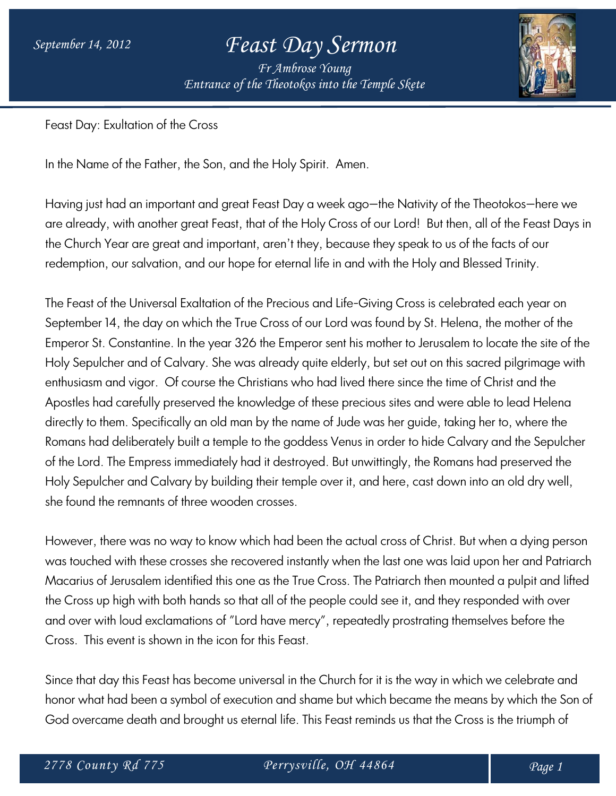*Fr Ambrose Young Entrance of the Theotokos into the Temple Skete*



Feast Day: Exultation of the Cross

In the Name of the Father, the Son, and the Holy Spirit. Amen.

Having just had an important and great Feast Day a week ago—the Nativity of the Theotokos—here we are already, with another great Feast, that of the Holy Cross of our Lord! But then, all of the Feast Days in the Church Year are great and important, aren't they, because they speak to us of the facts of our redemption, our salvation, and our hope for eternal life in and with the Holy and Blessed Trinity.

The Feast of the Universal Exaltation of the Precious and Life-Giving Cross is celebrated each year on September 14, the day on which the True Cross of our Lord was found by St. Helena, the mother of the Emperor St. Constantine. In the year 326 the Emperor sent his mother to Jerusalem to locate the site of the Holy Sepulcher and of Calvary. She was already quite elderly, but set out on this sacred pilgrimage with enthusiasm and vigor. Of course the Christians who had lived there since the time of Christ and the Apostles had carefully preserved the knowledge of these precious sites and were able to lead Helena directly to them. Specifically an old man by the name of Jude was her guide, taking her to, where the Romans had deliberately built a temple to the goddess Venus in order to hide Calvary and the Sepulcher of the Lord. The Empress immediately had it destroyed. But unwittingly, the Romans had preserved the Holy Sepulcher and Calvary by building their temple over it, and here, cast down into an old dry well, she found the remnants of three wooden crosses.

However, there was no way to know which had been the actual cross of Christ. But when a dying person was touched with these crosses she recovered instantly when the last one was laid upon her and Patriarch Macarius of Jerusalem identified this one as the True Cross. The Patriarch then mounted a pulpit and lifted the Cross up high with both hands so that all of the people could see it, and they responded with over and over with loud exclamations of "Lord have mercy", repeatedly prostrating themselves before the Cross. This event is shown in the icon for this Feast.

Since that day this Feast has become universal in the Church for it is the way in which we celebrate and honor what had been a symbol of execution and shame but which became the means by which the Son of God overcame death and brought us eternal life. This Feast reminds us that the Cross is the triumph of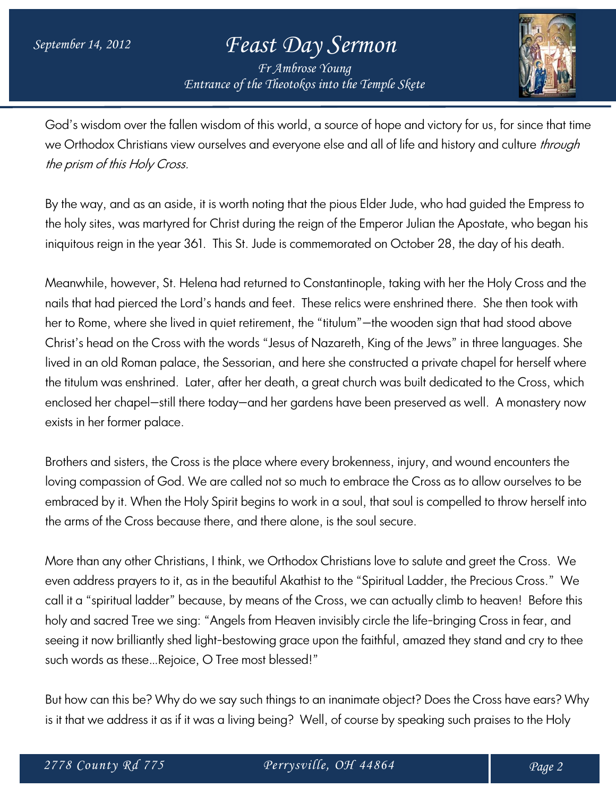*Fr Ambrose Young Entrance of the Theotokos into the Temple Skete*



God's wisdom over the fallen wisdom of this world, a source of hope and victory for us, for since that time we Orthodox Christians view ourselves and everyone else and all of life and history and culture through the prism of this Holy Cross.

By the way, and as an aside, it is worth noting that the pious Elder Jude, who had guided the Empress to the holy sites, was martyred for Christ during the reign of the Emperor Julian the Apostate, who began his iniquitous reign in the year 361. This St. Jude is commemorated on October 28, the day of his death.

Meanwhile, however, St. Helena had returned to Constantinople, taking with her the Holy Cross and the nails that had pierced the Lord's hands and feet. These relics were enshrined there. She then took with her to Rome, where she lived in quiet retirement, the "titulum"—the wooden sign that had stood above Christ's head on the Cross with the words "Jesus of Nazareth, King of the Jews" in three languages. She lived in an old Roman palace, the Sessorian, and here she constructed a private chapel for herself where the titulum was enshrined. Later, after her death, a great church was built dedicated to the Cross, which enclosed her chapel—still there today—and her gardens have been preserved as well. A monastery now exists in her former palace.

Brothers and sisters, the Cross is the place where every brokenness, injury, and wound encounters the loving compassion of God. We are called not so much to embrace the Cross as to allow ourselves to be embraced by it. When the Holy Spirit begins to work in a soul, that soul is compelled to throw herself into the arms of the Cross because there, and there alone, is the soul secure.

More than any other Christians, I think, we Orthodox Christians love to salute and greet the Cross. We even address prayers to it, as in the beautiful Akathist to the "Spiritual Ladder, the Precious Cross." We call it a "spiritual ladder" because, by means of the Cross, we can actually climb to heaven! Before this holy and sacred Tree we sing: "Angels from Heaven invisibly circle the life-bringing Cross in fear, and seeing it now brilliantly shed light-bestowing grace upon the faithful, amazed they stand and cry to thee such words as these…Rejoice, O Tree most blessed!"

But how can this be? Why do we say such things to an inanimate object? Does the Cross have ears? Why is it that we address it as if it was a living being? Well, of course by speaking such praises to the Holy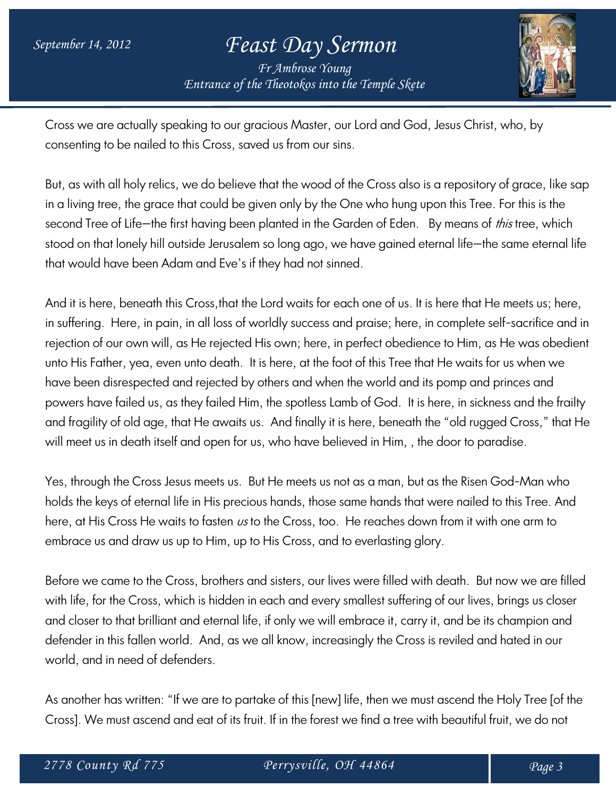*Fr Ambrose Young Entrance of the Theotokos into the Temple Skete*



Cross we are actually speaking to our gracious Master, our Lord and God, Jesus Christ, who, by consenting to be nailed to this Cross, saved us from our sins.

But, as with all holy relics, we do believe that the wood of the Cross also is a repository of grace, like sap in a living tree, the grace that could be given only by the One who hung upon this Tree. For this is the second Tree of Life-the first having been planted in the Garden of Eden. By means of this tree, which stood on that lonely hill outside Jerusalem so long ago, we have gained eternal life—the same eternal life that would have been Adam and Eve's if they had not sinned.

And it is here, beneath this Cross,that the Lord waits for each one of us. It is here that He meets us; here, in suffering. Here, in pain, in all loss of worldly success and praise; here, in complete self-sacrifice and in rejection of our own will, as He rejected His own; here, in perfect obedience to Him, as He was obedient unto His Father, yea, even unto death. It is here, at the foot of this Tree that He waits for us when we have been disrespected and rejected by others and when the world and its pomp and princes and powers have failed us, as they failed Him, the spotless Lamb of God. It is here, in sickness and the frailty and fragility of old age, that He awaits us. And finally it is here, beneath the "old rugged Cross," that He will meet us in death itself and open for us, who have believed in Him, , the door to paradise.

Yes, through the Cross Jesus meets us. But He meets us not as a man, but as the Risen God-Man who holds the keys of eternal life in His precious hands, those same hands that were nailed to this Tree. And here, at His Cross He waits to fasten  $\nu s$  to the Cross, too. He reaches down from it with one arm to embrace us and draw us up to Him, up to His Cross, and to everlasting glory.

Before we came to the Cross, brothers and sisters, our lives were filled with death. But now we are filled with life, for the Cross, which is hidden in each and every smallest suffering of our lives, brings us closer and closer to that brilliant and eternal life, if only we will embrace it, carry it, and be its champion and defender in this fallen world. And, as we all know, increasingly the Cross is reviled and hated in our world, and in need of defenders.

As another has written: "If we are to partake of this [new] life, then we must ascend the Holy Tree [of the Cross]. We must ascend and eat of its fruit. If in the forest we find a tree with beautiful fruit, we do not